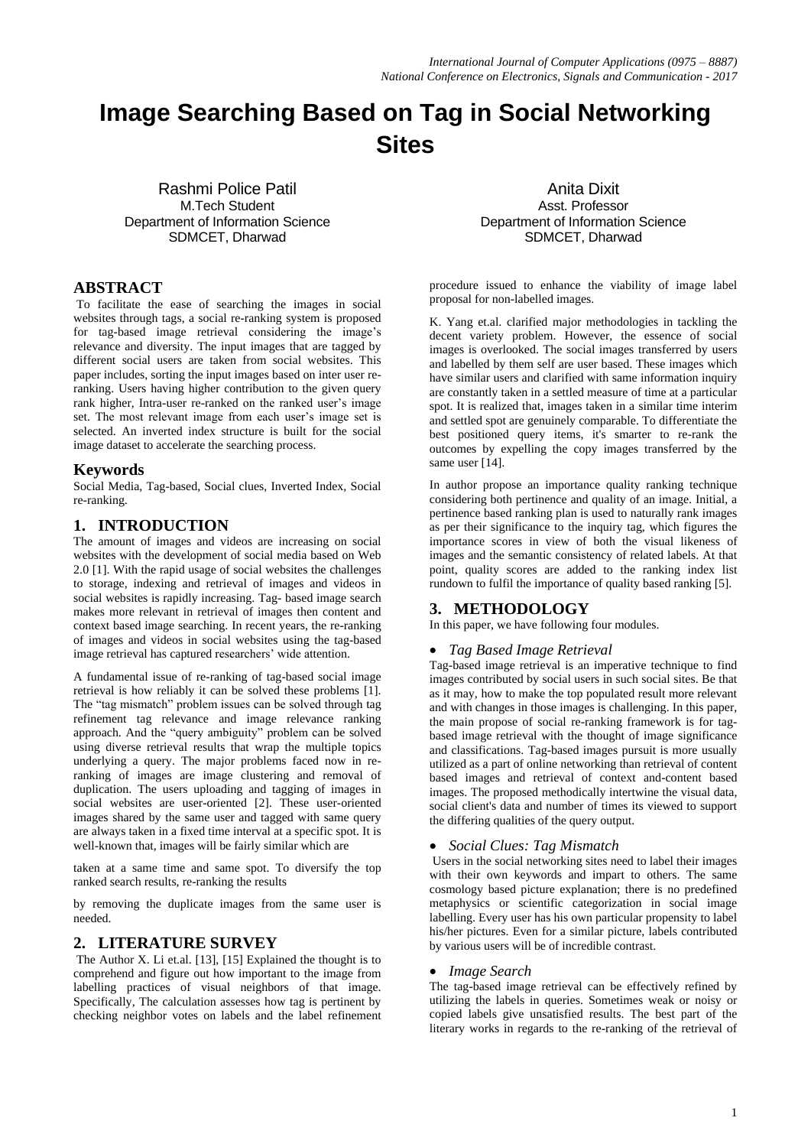# **Image Searching Based on Tag in Social Networking Sites**

Rashmi Police Patil M.Tech Student Department of Information Science SDMCET, Dharwad

## **ABSTRACT**

To facilitate the ease of searching the images in social websites through tags, a social re-ranking system is proposed for tag-based image retrieval considering the image's relevance and diversity. The input images that are tagged by different social users are taken from social websites. This paper includes, sorting the input images based on inter user reranking. Users having higher contribution to the given query rank higher, Intra-user re-ranked on the ranked user's image set. The most relevant image from each user's image set is selected. An inverted index structure is built for the social image dataset to accelerate the searching process.

## **Keywords**

Social Media, Tag-based, Social clues, Inverted Index, Social re-ranking.

# **1. INTRODUCTION**

The amount of images and videos are increasing on social websites with the development of social media based on Web 2.0 [1]. With the rapid usage of social websites the challenges to storage, indexing and retrieval of images and videos in social websites is rapidly increasing. Tag- based image search makes more relevant in retrieval of images then content and context based image searching. In recent years, the re-ranking of images and videos in social websites using the tag-based image retrieval has captured researchers' wide attention.

A fundamental issue of re-ranking of tag-based social image retrieval is how reliably it can be solved these problems [1]. The "tag mismatch" problem issues can be solved through tag refinement tag relevance and image relevance ranking approach. And the "query ambiguity" problem can be solved using diverse retrieval results that wrap the multiple topics underlying a query. The major problems faced now in reranking of images are image clustering and removal of duplication. The users uploading and tagging of images in social websites are user-oriented [2]. These user-oriented images shared by the same user and tagged with same query are always taken in a fixed time interval at a specific spot. It is well-known that, images will be fairly similar which are

taken at a same time and same spot. To diversify the top ranked search results, re-ranking the results

by removing the duplicate images from the same user is needed.

# **2. LITERATURE SURVEY**

The Author X. Li et.al. [13], [15] Explained the thought is to comprehend and figure out how important to the image from labelling practices of visual neighbors of that image. Specifically, The calculation assesses how tag is pertinent by checking neighbor votes on labels and the label refinement

Anita Dixit Asst. Professor Department of Information Science SDMCET, Dharwad

procedure issued to enhance the viability of image label proposal for non-labelled images.

K. Yang et.al. clarified major methodologies in tackling the decent variety problem. However, the essence of social images is overlooked. The social images transferred by users and labelled by them self are user based. These images which have similar users and clarified with same information inquiry are constantly taken in a settled measure of time at a particular spot. It is realized that, images taken in a similar time interim and settled spot are genuinely comparable. To differentiate the best positioned query items, it's smarter to re-rank the outcomes by expelling the copy images transferred by the same user [14].

In author propose an importance quality ranking technique considering both pertinence and quality of an image. Initial, a pertinence based ranking plan is used to naturally rank images as per their significance to the inquiry tag, which figures the importance scores in view of both the visual likeness of images and the semantic consistency of related labels. At that point, quality scores are added to the ranking index list rundown to fulfil the importance of quality based ranking [5].

# **3. METHODOLOGY**

In this paper, we have following four modules.

## *Tag Based Image Retrieval*

Tag-based image retrieval is an imperative technique to find images contributed by social users in such social sites. Be that as it may, how to make the top populated result more relevant and with changes in those images is challenging. In this paper, the main propose of social re-ranking framework is for tagbased image retrieval with the thought of image significance and classifications. Tag-based images pursuit is more usually utilized as a part of online networking than retrieval of content based images and retrieval of context and-content based images. The proposed methodically intertwine the visual data, social client's data and number of times its viewed to support the differing qualities of the query output.

#### *Social Clues: Tag Mismatch*

Users in the social networking sites need to label their images with their own keywords and impart to others. The same cosmology based picture explanation; there is no predefined metaphysics or scientific categorization in social image labelling. Every user has his own particular propensity to label his/her pictures. Even for a similar picture, labels contributed by various users will be of incredible contrast.

#### *Image Search*

The tag-based image retrieval can be effectively refined by utilizing the labels in queries. Sometimes weak or noisy or copied labels give unsatisfied results. The best part of the literary works in regards to the re-ranking of the retrieval of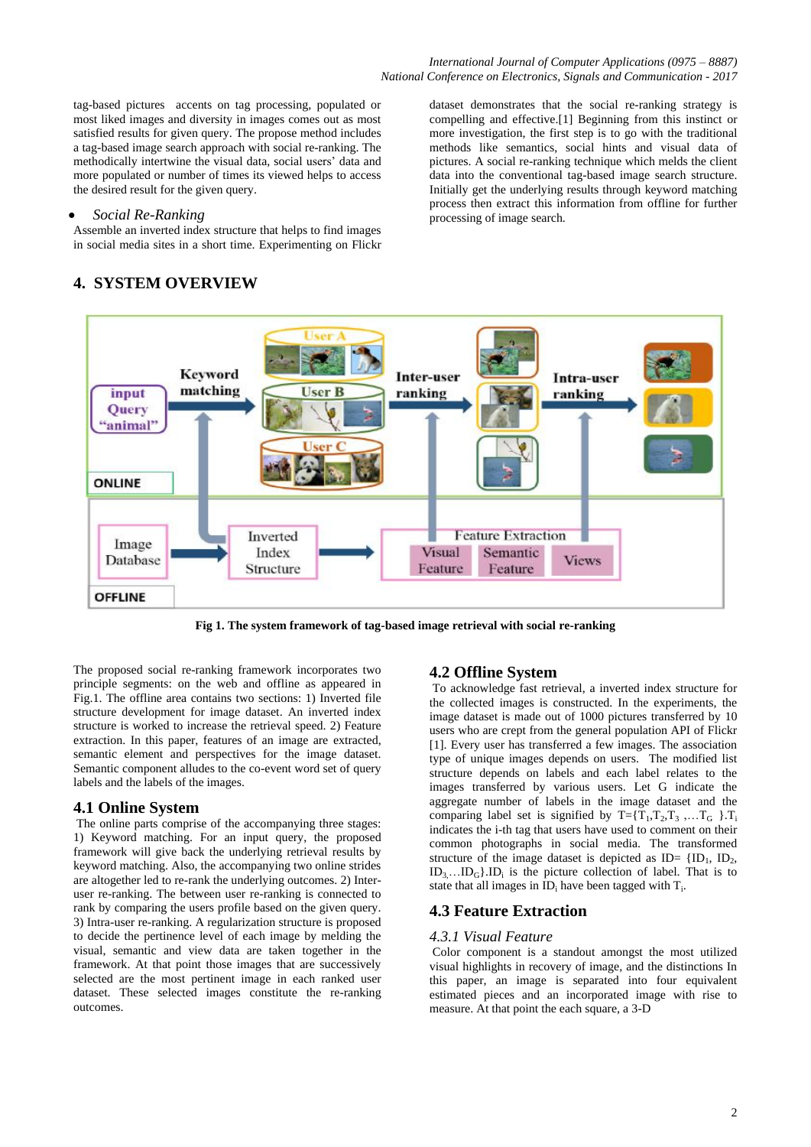processing of image search.

dataset demonstrates that the social re-ranking strategy is compelling and effective.[1] Beginning from this instinct or more investigation, the first step is to go with the traditional methods like semantics, social hints and visual data of pictures. A social re-ranking technique which melds the client data into the conventional tag-based image search structure. Initially get the underlying results through keyword matching process then extract this information from offline for further

tag-based pictures accents on tag processing, populated or most liked images and diversity in images comes out as most satisfied results for given query. The propose method includes a tag-based image search approach with social re-ranking. The methodically intertwine the visual data, social users' data and more populated or number of times its viewed helps to access the desired result for the given query.

## *Social Re-Ranking*

Assemble an inverted index structure that helps to find images in social media sites in a short time. Experimenting on Flickr

#### **Keyword Inter-user Intra-user** matching ranking input ranking Query 'animal' **ONLINE** Inverted **Feature Extraction** Image Index Visual Semantic Database **Views** Structure Feature Feature **OFFLINE**

# **4. SYSTEM OVERVIEW**

**Fig 1. The system framework of tag-based image retrieval with social re-ranking**

The proposed social re-ranking framework incorporates two principle segments: on the web and offline as appeared in Fig.1. The offline area contains two sections: 1) Inverted file structure development for image dataset. An inverted index structure is worked to increase the retrieval speed. 2) Feature extraction. In this paper, features of an image are extracted, semantic element and perspectives for the image dataset. Semantic component alludes to the co-event word set of query labels and the labels of the images.

## **4.1 Online System**

The online parts comprise of the accompanying three stages: 1) Keyword matching. For an input query, the proposed framework will give back the underlying retrieval results by keyword matching. Also, the accompanying two online strides are altogether led to re-rank the underlying outcomes. 2) Interuser re-ranking. The between user re-ranking is connected to rank by comparing the users profile based on the given query. 3) Intra-user re-ranking. A regularization structure is proposed to decide the pertinence level of each image by melding the visual, semantic and view data are taken together in the framework. At that point those images that are successively selected are the most pertinent image in each ranked user dataset. These selected images constitute the re-ranking outcomes.

## **4.2 Offline System**

To acknowledge fast retrieval, a inverted index structure for the collected images is constructed. In the experiments, the image dataset is made out of 1000 pictures transferred by 10 users who are crept from the general population API of Flickr [1]. Every user has transferred a few images. The association type of unique images depends on users. The modified list structure depends on labels and each label relates to the images transferred by various users. Let G indicate the aggregate number of labels in the image dataset and the comparing label set is signified by  $T = \{T_1, T_2, T_3, \ldots, T_G\}$ . indicates the i-th tag that users have used to comment on their common photographs in social media. The transformed structure of the image dataset is depicted as  $ID = \{ID_1, ID_2,$  $ID_3$ ... $ID_G$ . $ID_i$  is the picture collection of label. That is to state that all images in  $ID_i$  have been tagged with  $T_i$ .

#### **4.3 Feature Extraction**

#### *4.3.1 Visual Feature*

Color component is a standout amongst the most utilized visual highlights in recovery of image, and the distinctions In this paper, an image is separated into four equivalent estimated pieces and an incorporated image with rise to measure. At that point the each square, a 3-D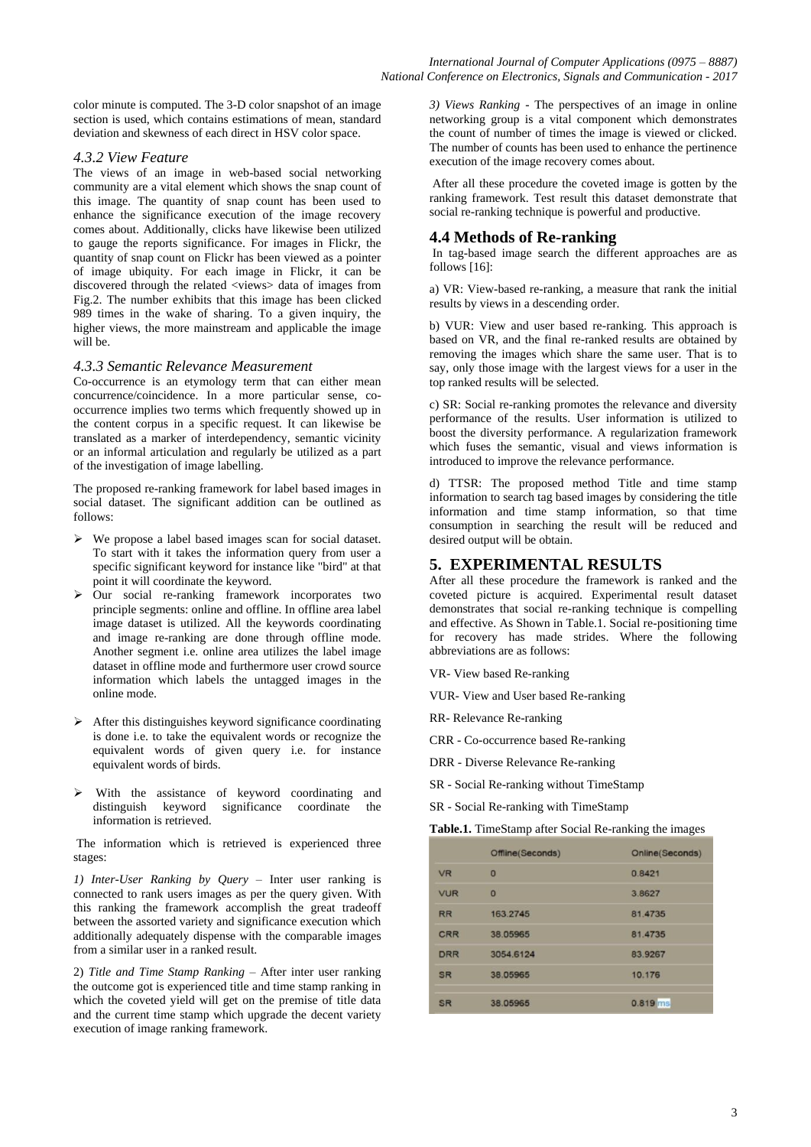color minute is computed. The 3-D color snapshot of an image section is used, which contains estimations of mean, standard deviation and skewness of each direct in HSV color space.

#### *4.3.2 View Feature*

The views of an image in web-based social networking community are a vital element which shows the snap count of this image. The quantity of snap count has been used to enhance the significance execution of the image recovery comes about. Additionally, clicks have likewise been utilized to gauge the reports significance. For images in Flickr, the quantity of snap count on Flickr has been viewed as a pointer of image ubiquity. For each image in Flickr, it can be discovered through the related <views> data of images from Fig.2. The number exhibits that this image has been clicked 989 times in the wake of sharing. To a given inquiry, the higher views, the more mainstream and applicable the image will be.

#### *4.3.3 Semantic Relevance Measurement*

Co-occurrence is an etymology term that can either mean concurrence/coincidence. In a more particular sense, cooccurrence implies two terms which frequently showed up in the content corpus in a specific request. It can likewise be translated as a marker of interdependency, semantic vicinity or an informal articulation and regularly be utilized as a part of the investigation of image labelling.

The proposed re-ranking framework for label based images in social dataset. The significant addition can be outlined as follows:

- We propose a label based images scan for social dataset. To start with it takes the information query from user a specific significant keyword for instance like "bird" at that point it will coordinate the keyword.
- $\triangleright$  Our social re-ranking framework incorporates two principle segments: online and offline. In offline area label image dataset is utilized. All the keywords coordinating and image re-ranking are done through offline mode. Another segment i.e. online area utilizes the label image dataset in offline mode and furthermore user crowd source information which labels the untagged images in the online mode.
- $\triangleright$  After this distinguishes keyword significance coordinating is done i.e. to take the equivalent words or recognize the equivalent words of given query i.e. for instance equivalent words of birds.
- $\triangleright$  With the assistance of keyword coordinating and distinguish keyword significance coordinate the information is retrieved.

The information which is retrieved is experienced three stages:

*1) Inter-User Ranking by Query* – Inter user ranking is connected to rank users images as per the query given. With this ranking the framework accomplish the great tradeoff between the assorted variety and significance execution which additionally adequately dispense with the comparable images from a similar user in a ranked result.

2) *Title and Time Stamp Ranking* – After inter user ranking the outcome got is experienced title and time stamp ranking in which the coveted yield will get on the premise of title data and the current time stamp which upgrade the decent variety execution of image ranking framework.

*3) Views Ranking* - The perspectives of an image in online networking group is a vital component which demonstrates the count of number of times the image is viewed or clicked. The number of counts has been used to enhance the pertinence execution of the image recovery comes about.

After all these procedure the coveted image is gotten by the ranking framework. Test result this dataset demonstrate that social re-ranking technique is powerful and productive.

#### **4.4 Methods of Re-ranking**

In tag-based image search the different approaches are as follows [16]:

a) VR: View-based re-ranking, a measure that rank the initial results by views in a descending order.

b) VUR: View and user based re-ranking. This approach is based on VR, and the final re-ranked results are obtained by removing the images which share the same user. That is to say, only those image with the largest views for a user in the top ranked results will be selected.

c) SR: Social re-ranking promotes the relevance and diversity performance of the results. User information is utilized to boost the diversity performance. A regularization framework which fuses the semantic, visual and views information is introduced to improve the relevance performance.

d) TTSR: The proposed method Title and time stamp information to search tag based images by considering the title information and time stamp information, so that time consumption in searching the result will be reduced and desired output will be obtain.

# **5. EXPERIMENTAL RESULTS**

After all these procedure the framework is ranked and the coveted picture is acquired. Experimental result dataset demonstrates that social re-ranking technique is compelling and effective. As Shown in Table.1. Social re-positioning time for recovery has made strides. Where the following abbreviations are as follows:

VR- View based Re-ranking

VUR- View and User based Re-ranking

RR- Relevance Re-ranking

CRR - Co-occurrence based Re-ranking

DRR - Diverse Relevance Re-ranking

SR - Social Re-ranking without TimeStamp

SR - Social Re-ranking with TimeStamp

**Table.1.** TimeStamp after Social Re-ranking the images

|            | Offline(Seconds) | Online(Seconds) |
|------------|------------------|-----------------|
| <b>VR</b>  | $\Omega$         | 0.8421          |
| <b>VUR</b> | $\Omega$         | 3.8627          |
| <b>RR</b>  | 163.2745         | 81.4735         |
| <b>CRR</b> | 38.05965         | 81.4735         |
| <b>DRR</b> | 3054.6124        | 83.9267         |
| <b>SR</b>  | 38.05965         | 10.176          |
| <b>SR</b>  | 38.05965         | $0.819$ ms      |